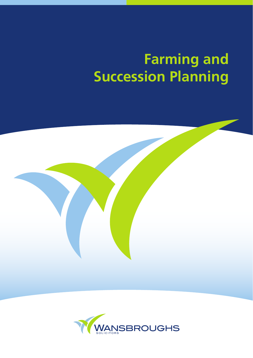# **Farming and Succession Planning**



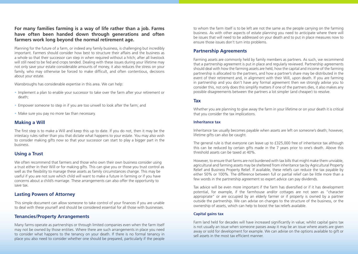# **For many families farming is a way of life rather than a job. Farms have often been handed down through generations and often farmers work long beyond the normal retirement age.**

Planning for the future of a farm, or indeed any family business, is challenging but incredibly important. Farmers should consider how best to structure their affairs and the business as a whole so that their successor can step in when required without a hitch; after all livestock will still need to be fed and crops tended. Dealing with these issues during your lifetime may not only save your estate considerable amounts of money, it also reduces the stress on your family, who may otherwise be forced to make difficult, and often contentious, decisions about your estate.

Wansbroughs has considerable expertise in this area. We can help:

- Implement a plan to enable your successor to take over the farm after your retirement or death;
- Empower someone to step in if you are too unwell to look after the farm; and
- Make sure you pay no more tax than necessary.

# **Making a Will**

The first step is to make a Will and keep this up to date. If you do not, then it may be the intestacy rules rather than you that dictate what happens to your estate. You may also wish to consider making gifts now so that your successor can start to play a bigger part in the business.

# **Using a Trust**

We often recommend that farmers and those who own their own business consider using a trust either in their Will or for making gifts. This can give you or those you trust control as well as the flexibility to manage these assets as family circumstances change. This may be useful if you are not sure which child will want to make a future in farming or if you have concerns about a child's marriage. These arrangements can also offer the opportunity to save tax.

# **Lasting Powers of Attorney**

This simple document can allow someone to take control of your finances if you are unable to deal with these yourself and should be considered essential for all those with businesses.

# **Tenancies/Property Arrangements**

Many farms operate as partnerships or through limited companies even when the farm itself may not be owned by those entities. Where there are such arrangements in place you need to consider what happens to the tenancy on your death. If there is no formal tenancy in place you also need to consider whether one should be prepared, particularly if the people

to whom the farm itself is to be left are not the same as the people carrying on the farming business. As with other aspects of estate planning you need to anticipate where there will be issues that will need to be addressed on your death and to put in place measures now to ensure those issues don't turn into problems.

# **Partnership Agreements**

Farming assets are commonly held by family members as partners. As such, we recommend that a partnership agreement is put in place and regularly reviewed. Partnership agreements should deal with how the farming assets are held, how the capital and income of the farming partnership is allocated to the partners, and how a partner's share may be distributed in the event of their retirement and, in alignment with their Will, upon death. If you are farming in partnership and you don't have any formal agreement then we strongly advise you to consider this, not only does this simplify matters if one of the partners dies, it also makes any possible disagreements between the partners a lot simpler (and cheaper) to resolve.

### **Tax**

Whether you are planning to give away the farm in your lifetime or on your death it is critical that you consider the tax implications.

#### **Inheritance tax**

Inheritance tax usually becomes payable when assets are left on someone's death; however, lifetime gifts can also be caught.

The general rule is that everyone can leave up to £325,000 free of inheritance tax although this can be reduced by certain gifts made in the 7 years prior to one's death. Above this threshold assets can be taxed at 40%.

However, to ensure that farms are not burdened with tax bills that might make them unviable, agricultural and farming assets may be sheltered from inheritance tax by Agricultural Property Relief and Business Property Relief. If available, these reliefs can reduce the tax payable by either 50% or 100%. The difference between full or partial relief can be little more than a few words in the partnership agreement so expert advice can pay dividends.

Tax advice will be even more important if the farm has diversified or if it has development potential, for example, if the farmhouse and/or cottages are not seen as "character appropriate" or are occupied by an elderly farmer or if property is owned by a partner outside the partnership. We can advise on changes to the structure of the business, or the ownership of assets, which can help to boost the tax reliefs available.

#### **Capital gains tax**

Farm land held for decades will have increased significantly in value; whilst capital gains tax is not usually an issue when someone passes away it may be an issue where assets are given away or sold for development for example. We can advise on the options available to gift or sell assets in the most tax efficient manner.